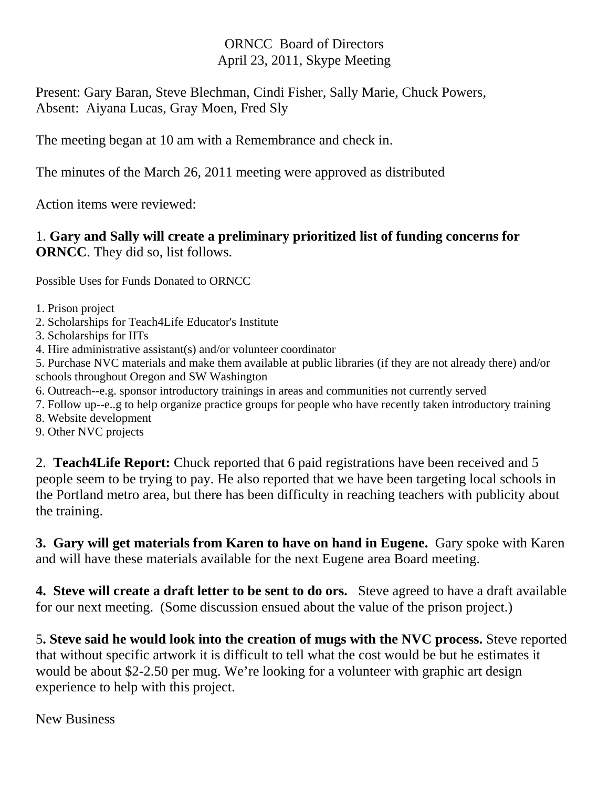## ORNCC Board of Directors April 23, 2011, Skype Meeting

Present: Gary Baran, Steve Blechman, Cindi Fisher, Sally Marie, Chuck Powers, Absent: Aiyana Lucas, Gray Moen, Fred Sly

The meeting began at 10 am with a Remembrance and check in.

The minutes of the March 26, 2011 meeting were approved as distributed

Action items were reviewed:

## 1. **Gary and Sally will create a preliminary prioritized list of funding concerns for ORNCC**. They did so, list follows.

Possible Uses for Funds Donated to ORNCC

- 1. Prison project
- 2. Scholarships for Teach4Life Educator's Institute
- 3. Scholarships for IITs
- 4. Hire administrative assistant(s) and/or volunteer coordinator

5. Purchase NVC materials and make them available at public libraries (if they are not already there) and/or schools throughout Oregon and SW Washington

- 6. Outreach--e.g. sponsor introductory trainings in areas and communities not currently served
- 7. Follow up--e..g to help organize practice groups for people who have recently taken introductory training
- 8. Website development
- 9. Other NVC projects

2. **Teach4Life Report:** Chuck reported that 6 paid registrations have been received and 5 people seem to be trying to pay. He also reported that we have been targeting local schools in the Portland metro area, but there has been difficulty in reaching teachers with publicity about the training.

**3. Gary will get materials from Karen to have on hand in Eugene.** Gary spoke with Karen and will have these materials available for the next Eugene area Board meeting.

**4. Steve will create a draft letter to be sent to do ors.** Steve agreed to have a draft available for our next meeting. (Some discussion ensued about the value of the prison project.)

5**. Steve said he would look into the creation of mugs with the NVC process.** Steve reported that without specific artwork it is difficult to tell what the cost would be but he estimates it would be about \$2-2.50 per mug. We're looking for a volunteer with graphic art design experience to help with this project.

New Business